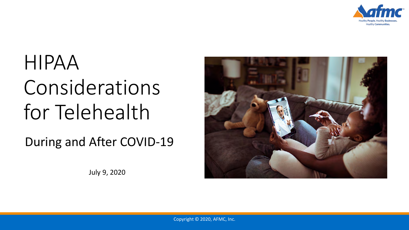

# HIPAA Considerations for Telehealth

During and After COVID-19

July 9, 2020

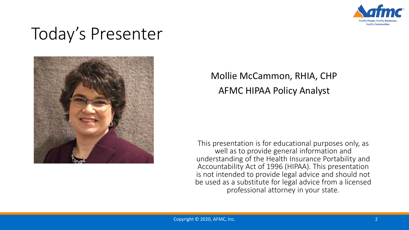

# Today's Presenter



### Mollie McCammon, RHIA, CHP AFMC HIPAA Policy Analyst

This presentation is for educational purposes only, as well as to provide general information and understanding of the Health Insurance Portability and Accountability Act of 1996 (HIPAA). This presentation is not intended to provide legal advice and should not be used as a substitute for legal advice from a licensed professional attorney in your state.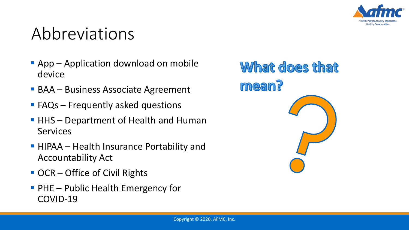

## Abbreviations

- **App Application download on mobile** device
- BAA Business Associate Agreement
- **FAQs** Frequently asked questions
- HHS Department of Health and Human **Services**
- **HIPAA** Health Insurance Portability and Accountability Act
- OCR Office of Civil Rights
- **PHE** Public Health Emergency for COVID-19

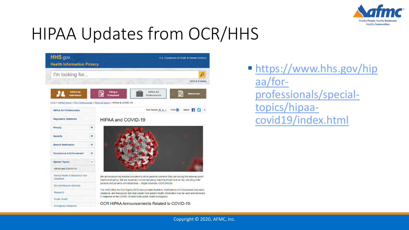

# HIPAA Updates from OCR/HHS



 [https://www.hhs.gov/hip](https://www.hhs.gov/hipaa/for-professionals/special-topics/hipaa-covid19/index.html) aa/forprofessionals/specialtopics/hipaacovid19/index.html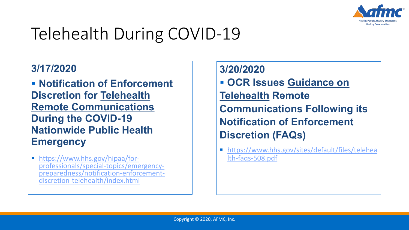

# Telehealth During COVID-19

#### **3/17/2020**

 **Notification of Enforcement Discretion for Telehealth Remote Communications During the COVID-19 Nationwide Public Health Emergency**

| https://www.hhs.gov/hipaa/for-<br>
professionals/special-topics/emergency-<br> [preparedness/notification-enforcement-](https://www.hhs.gov/hipaa/for-professionals/special-topics/emergency-preparedness/notification-enforcement-discretion-telehealth/index.html)<br>
discretion-telehealth/index.html

**3/20/2020 OCR Issues Guidance on Telehealth Remote Communications Following its Notification of Enforcement Discretion (FAQs)**

 [https://www.hhs.gov/sites/default/files/telehea](https://www.hhs.gov/sites/default/files/telehealth-faqs-508.pdf) lth-faqs-508.pdf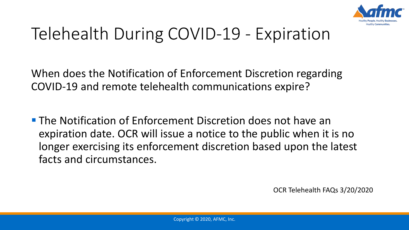

# Telehealth During COVID-19 - Expiration

When does the Notification of Enforcement Discretion regarding COVID-19 and remote telehealth communications expire?

**The Notification of Enforcement Discretion does not have an** expiration date. OCR will issue a notice to the public when it is no longer exercising its enforcement discretion based upon the latest facts and circumstances.

OCR Telehealth FAQs 3/20/2020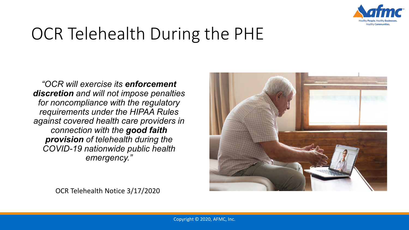

# OCR Telehealth During the PHE

*"OCR will exercise its enforcement discretion and will not impose penalties for noncompliance with the regulatory requirements under the HIPAA Rules against covered health care providers in connection with the good faith provision of telehealth during the COVID-19 nationwide public health emergency."*



OCR Telehealth Notice 3/17/2020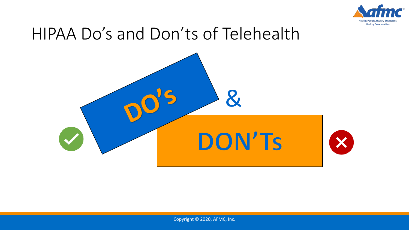

## HIPAA Do's and Don'ts of Telehealth



Copyright © 2020, AFMC, Inc.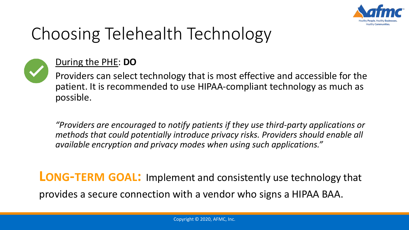



#### During the PHE: **DO**

Providers can select technology that is most effective and accessible for the patient. It is recommended to use HIPAA-compliant technology as much as possible.

*"Providers are encouraged to notify patients if they use third-party applications or methods that could potentially introduce privacy risks. Providers should enable all available encryption and privacy modes when using such applications."* 

**LONG-TERM GOAL:** Implement and consistently use technology that provides a secure connection with a vendor who signs a HIPAA BAA.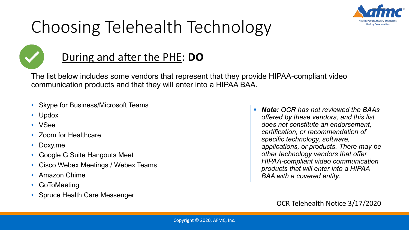



### During and after the PHE: **DO**

The list below includes some vendors that represent that they provide HIPAA-compliant video communication products and that they will enter into a HIPAA BAA.

- Skype for Business/Microsoft Teams
- Updox
- VSee
- Zoom for Healthcare
- Doxy.me
- Google G Suite Hangouts Meet
- Cisco Webex Meetings / Webex Teams
- Amazon Chime
- GoToMeeting
- Spruce Health Care Messenger

 *Note: OCR has not reviewed the BAAs offered by these vendors, and this list does not constitute an endorsement, certification, or recommendation of specific technology, software, applications, or products. There may be other technology vendors that offer HIPAA-compliant video communication products that will enter into a HIPAA BAA with a covered entity.*

OCR Telehealth Notice 3/17/2020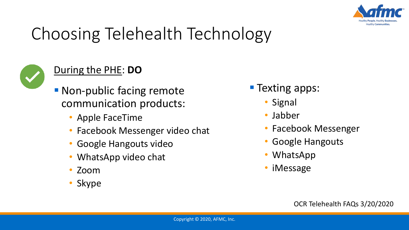



### During the PHE: **DO**

- **Non-public facing remote** communication products:
	- Apple FaceTime
	- Facebook Messenger video chat
	- Google Hangouts video
	- WhatsApp video chat
	- Zoom
	- Skype
- **Texting apps:** 
	- Signal
	- Jabber
	- Facebook Messenger
	- Google Hangouts
	- WhatsApp
	- iMessage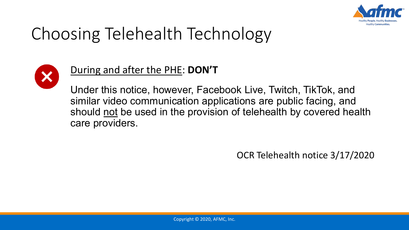



### During and after the PHE: **DON'T**

Under this notice, however, Facebook Live, Twitch, TikTok, and similar video communication applications are public facing, and should not be used in the provision of telehealth by covered health care providers.

OCR Telehealth notice 3/17/2020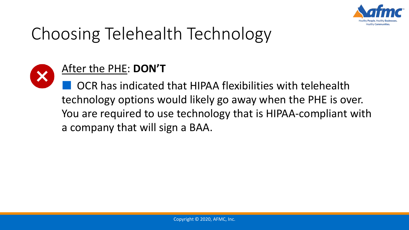



### After the PHE: **DON'T**

OCR has indicated that HIPAA flexibilities with telehealth technology options would likely go away when the PHE is over. You are required to use technology that is HIPAA-compliant with a company that will sign a BAA.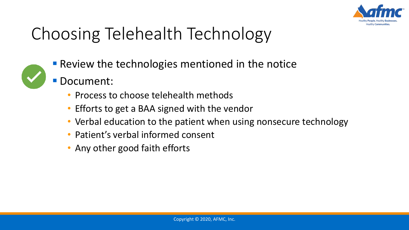



- **Review the technologies mentioned in the notice** 
	- Document:
		- Process to choose telehealth methods
		- Efforts to get a BAA signed with the vendor
		- Verbal education to the patient when using nonsecure technology
		- Patient's verbal informed consent
		- Any other good faith efforts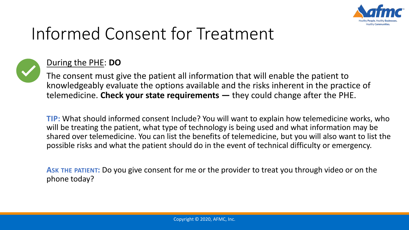

# Informed Consent for Treatment



#### During the PHE: **DO**

The consent must give the patient all information that will enable the patient to knowledgeably evaluate the options available and the risks inherent in the practice of telemedicine. **Check your state requirements —** they could change after the PHE.

**TIP:** What should informed consent Include? You will want to explain how telemedicine works, who will be treating the patient, what type of technology is being used and what information may be shared over telemedicine. You can list the benefits of telemedicine, but you will also want to list the possible risks and what the patient should do in the event of technical difficulty or emergency.

**ASK THE PATIENT:** Do you give consent for me or the provider to treat you through video or on the phone today?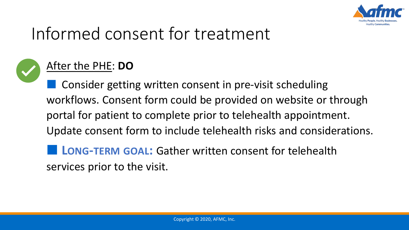

# Informed consent for treatment



### After the PHE: **DO**

Consider getting written consent in pre-visit scheduling workflows. Consent form could be provided on website or through portal for patient to complete prior to telehealth appointment. Update consent form to include telehealth risks and considerations.

■ **LONG-TERM GOAL:** Gather written consent for telehealth services prior to the visit.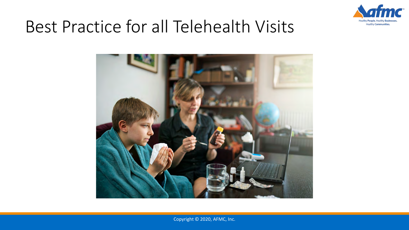

# Best Practice for all Telehealth Visits



Copyright © 2020, AFMC, Inc.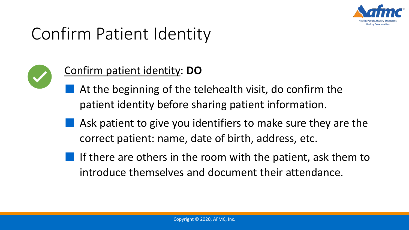

# Confirm Patient Identity



### Confirm patient identity: **DO**

- At the beginning of the telehealth visit, do confirm the patient identity before sharing patient information.
- Ask patient to give you identifiers to make sure they are the correct patient: name, date of birth, address, etc.
- $\blacksquare$  If there are others in the room with the patient, ask them to introduce themselves and document their attendance.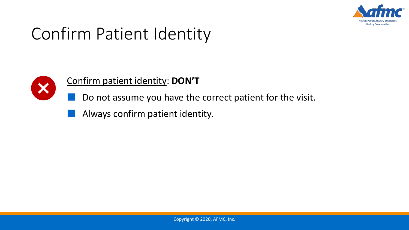

# Confirm Patient Identity



#### Confirm patient identity: **DON'T**

- Do not assume you have the correct patient for the visit.
- Always confirm patient identity.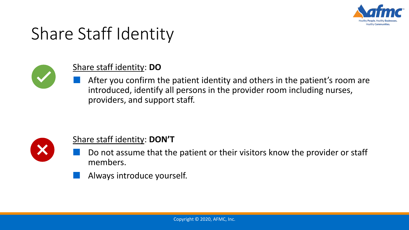

## Share Staff Identity



#### Share staff identity: **DO**

After you confirm the patient identity and others in the patient's room are introduced, identify all persons in the provider room including nurses, providers, and support staff.



#### Share staff identity: **DON'T**

- Do not assume that the patient or their visitors know the provider or staff members.
- Always introduce yourself.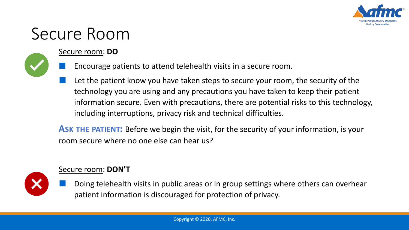

# Secure Room

#### Secure room: **DO**



- Encourage patients to attend telehealth visits in a secure room.
- Let the patient know you have taken steps to secure your room, the security of the technology you are using and any precautions you have taken to keep their patient information secure. Even with precautions, there are potential risks to this technology, including interruptions, privacy risk and technical difficulties.

**ASK THE PATIENT:** Before we begin the visit, for the security of your information, is your room secure where no one else can hear us?



#### Secure room: **DON'T**

Doing telehealth visits in public areas or in group settings where others can overhear patient information is discouraged for protection of privacy.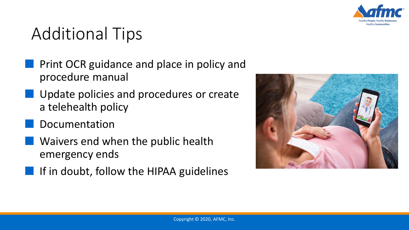

## Additional Tips

- Print OCR guidance and place in policy and procedure manual
- Update policies and procedures or create a telehealth policy
- **Documentation**
- Waivers end when the public health emergency ends
	- If in doubt, follow the HIPAA guidelines

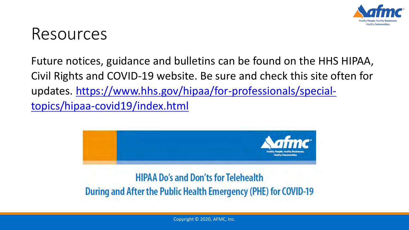

### Resources

Future notices, guidance and bulletins can be found on the HHS HIPAA, Civil Rights and COVID-19 website. Be sure and check this site often for [updates. https://www.hhs.gov/hipaa/for-professionals/special](https://www.hhs.gov/hipaa/for-professionals/special-topics/hipaa-covid19/index.html)topics/hipaa-covid19/index.html



During and After the Public Health Emergency (PHE) for COVID-19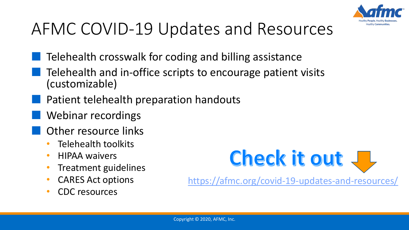

# AFMC COVID-19 Updates and Resources

- Telehealth crosswalk for coding and billing assistance
- Telehealth and in-office scripts to encourage patient visits (customizable)
- Patient telehealth preparation handouts
- Webinar recordings
- Other resource links
	- Telehealth toolkits
	- HIPAA waivers
	- Treatment guidelines
	- CARES Act options
	- CDC resources



<https://afmc.org/covid-19-updates-and-resources/>